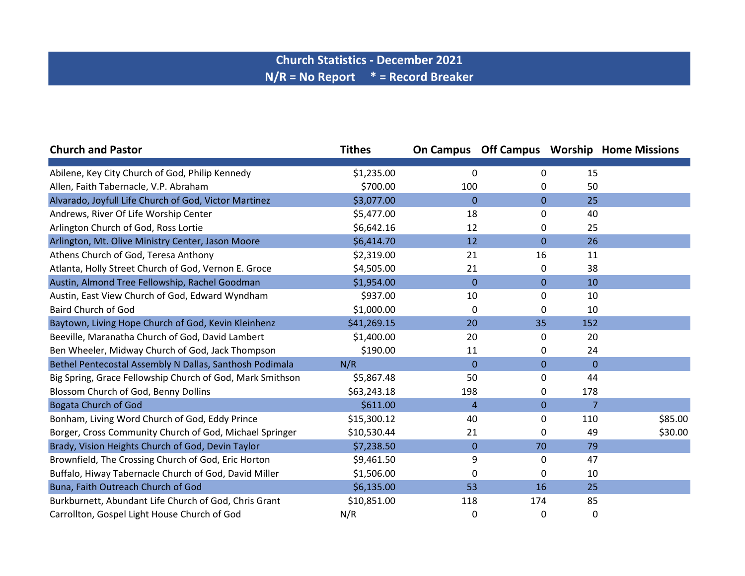## **Church Statistics - December 2021 N/R = No Report \* = Record Breaker**

| <b>Church and Pastor</b>                                  | <b>Tithes</b> |                |              |                | <b>On Campus Off Campus Worship Home Missions</b> |
|-----------------------------------------------------------|---------------|----------------|--------------|----------------|---------------------------------------------------|
|                                                           |               |                |              |                |                                                   |
| Abilene, Key City Church of God, Philip Kennedy           | \$1,235.00    | 0              | 0            | 15             |                                                   |
| Allen, Faith Tabernacle, V.P. Abraham                     | \$700.00      | 100            | 0            | 50             |                                                   |
| Alvarado, Joyfull Life Church of God, Victor Martinez     | \$3,077.00    | $\Omega$       | $\mathbf{0}$ | 25             |                                                   |
| Andrews, River Of Life Worship Center                     | \$5,477.00    | 18             | 0            | 40             |                                                   |
| Arlington Church of God, Ross Lortie                      | \$6,642.16    | 12             | 0            | 25             |                                                   |
| Arlington, Mt. Olive Ministry Center, Jason Moore         | \$6,414.70    | 12             | $\mathbf{0}$ | 26             |                                                   |
| Athens Church of God, Teresa Anthony                      | \$2,319.00    | 21             | 16           | 11             |                                                   |
| Atlanta, Holly Street Church of God, Vernon E. Groce      | \$4,505.00    | 21             | 0            | 38             |                                                   |
| Austin, Almond Tree Fellowship, Rachel Goodman            | \$1,954.00    | $\Omega$       | $\mathbf{0}$ | 10             |                                                   |
| Austin, East View Church of God, Edward Wyndham           | \$937.00      | 10             | 0            | 10             |                                                   |
| <b>Baird Church of God</b>                                | \$1,000.00    | 0              | 0            | 10             |                                                   |
| Baytown, Living Hope Church of God, Kevin Kleinhenz       | \$41,269.15   | 20             | 35           | 152            |                                                   |
| Beeville, Maranatha Church of God, David Lambert          | \$1,400.00    | 20             | 0            | 20             |                                                   |
| Ben Wheeler, Midway Church of God, Jack Thompson          | \$190.00      | 11             | 0            | 24             |                                                   |
| Bethel Pentecostal Assembly N Dallas, Santhosh Podimala   | N/R           | $\Omega$       | $\mathbf{0}$ | $\overline{0}$ |                                                   |
| Big Spring, Grace Fellowship Church of God, Mark Smithson | \$5,867.48    | 50             | 0            | 44             |                                                   |
| Blossom Church of God, Benny Dollins                      | \$63,243.18   | 198            | 0            | 178            |                                                   |
| <b>Bogata Church of God</b>                               | \$611.00      | $\overline{4}$ | $\mathbf 0$  | $\overline{7}$ |                                                   |
| Bonham, Living Word Church of God, Eddy Prince            | \$15,300.12   | 40             | 0            | 110            | \$85.00                                           |
| Borger, Cross Community Church of God, Michael Springer   | \$10,530.44   | 21             | 0            | 49             | \$30.00                                           |
| Brady, Vision Heights Church of God, Devin Taylor         | \$7,238.50    | $\mathbf 0$    | 70           | 79             |                                                   |
| Brownfield, The Crossing Church of God, Eric Horton       | \$9,461.50    | 9              | 0            | 47             |                                                   |
| Buffalo, Hiway Tabernacle Church of God, David Miller     | \$1,506.00    | 0              | 0            | 10             |                                                   |
| Buna, Faith Outreach Church of God                        | \$6,135.00    | 53             | 16           | 25             |                                                   |
| Burkburnett, Abundant Life Church of God, Chris Grant     | \$10,851.00   | 118            | 174          | 85             |                                                   |
| Carrollton, Gospel Light House Church of God              | N/R           | 0              | 0            | 0              |                                                   |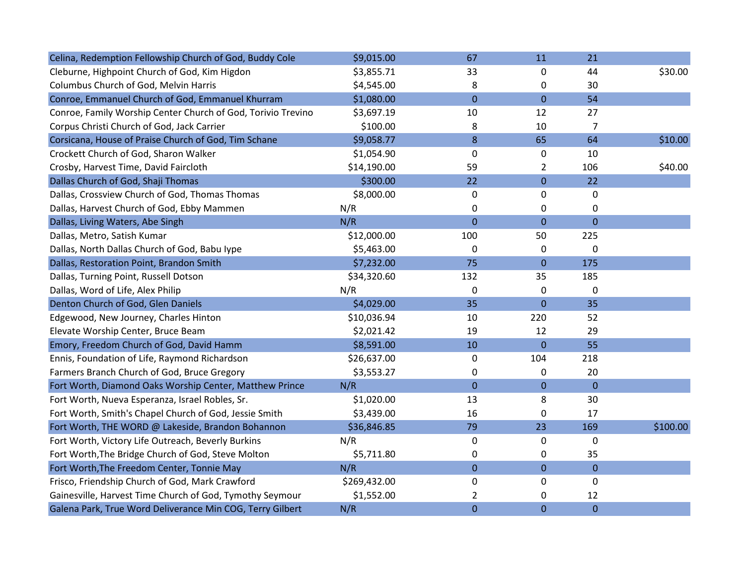| Celina, Redemption Fellowship Church of God, Buddy Cole      | \$9,015.00   | 67             | 11             | 21             |          |
|--------------------------------------------------------------|--------------|----------------|----------------|----------------|----------|
| Cleburne, Highpoint Church of God, Kim Higdon                | \$3,855.71   | 33             | 0              | 44             | \$30.00  |
| Columbus Church of God, Melvin Harris                        | \$4,545.00   | 8              | 0              | 30             |          |
| Conroe, Emmanuel Church of God, Emmanuel Khurram             | \$1,080.00   | $\overline{0}$ | $\overline{0}$ | 54             |          |
| Conroe, Family Worship Center Church of God, Torivio Trevino | \$3,697.19   | 10             | 12             | 27             |          |
| Corpus Christi Church of God, Jack Carrier                   | \$100.00     | 8              | 10             | $\overline{7}$ |          |
| Corsicana, House of Praise Church of God, Tim Schane         | \$9,058.77   | 8              | 65             | 64             | \$10.00  |
| Crockett Church of God, Sharon Walker                        | \$1,054.90   | $\mathbf 0$    | 0              | 10             |          |
| Crosby, Harvest Time, David Faircloth                        | \$14,190.00  | 59             | $\overline{2}$ | 106            | \$40.00  |
| Dallas Church of God, Shaji Thomas                           | \$300.00     | 22             | $\pmb{0}$      | 22             |          |
| Dallas, Crossview Church of God, Thomas Thomas               | \$8,000.00   | 0              | 0              | 0              |          |
| Dallas, Harvest Church of God, Ebby Mammen                   | N/R          | 0              | 0              | 0              |          |
| Dallas, Living Waters, Abe Singh                             | N/R          | $\overline{0}$ | $\overline{0}$ | $\overline{0}$ |          |
| Dallas, Metro, Satish Kumar                                  | \$12,000.00  | 100            | 50             | 225            |          |
| Dallas, North Dallas Church of God, Babu Iype                | \$5,463.00   | 0              | 0              | $\mathbf 0$    |          |
| Dallas, Restoration Point, Brandon Smith                     | \$7,232.00   | 75             | $\mathbf{0}$   | 175            |          |
| Dallas, Turning Point, Russell Dotson                        | \$34,320.60  | 132            | 35             | 185            |          |
| Dallas, Word of Life, Alex Philip                            | N/R          | $\mathbf 0$    | $\mathbf 0$    | $\mathbf 0$    |          |
| Denton Church of God, Glen Daniels                           | \$4,029.00   | 35             | $\overline{0}$ | 35             |          |
| Edgewood, New Journey, Charles Hinton                        | \$10,036.94  | 10             | 220            | 52             |          |
| Elevate Worship Center, Bruce Beam                           | \$2,021.42   | 19             | 12             | 29             |          |
| Emory, Freedom Church of God, David Hamm                     | \$8,591.00   | 10             | $\mathbf 0$    | 55             |          |
| Ennis, Foundation of Life, Raymond Richardson                | \$26,637.00  | 0              | 104            | 218            |          |
| Farmers Branch Church of God, Bruce Gregory                  | \$3,553.27   | 0              | 0              | 20             |          |
| Fort Worth, Diamond Oaks Worship Center, Matthew Prince      | N/R          | $\mathbf 0$    | $\pmb{0}$      | $\pmb{0}$      |          |
| Fort Worth, Nueva Esperanza, Israel Robles, Sr.              | \$1,020.00   | 13             | 8              | 30             |          |
| Fort Worth, Smith's Chapel Church of God, Jessie Smith       | \$3,439.00   | 16             | $\mathbf 0$    | 17             |          |
| Fort Worth, THE WORD @ Lakeside, Brandon Bohannon            | \$36,846.85  | 79             | 23             | 169            | \$100.00 |
| Fort Worth, Victory Life Outreach, Beverly Burkins           | N/R          | 0              | 0              | $\mathbf 0$    |          |
| Fort Worth, The Bridge Church of God, Steve Molton           | \$5,711.80   | 0              | 0              | 35             |          |
| Fort Worth, The Freedom Center, Tonnie May                   | N/R          | $\overline{0}$ | $\mathbf{0}$   | $\mathbf{0}$   |          |
| Frisco, Friendship Church of God, Mark Crawford              | \$269,432.00 | 0              | 0              | $\mathbf 0$    |          |
| Gainesville, Harvest Time Church of God, Tymothy Seymour     | \$1,552.00   | 2              | 0              | 12             |          |
| Galena Park, True Word Deliverance Min COG, Terry Gilbert    | N/R          | $\overline{0}$ | $\overline{0}$ | $\mathbf 0$    |          |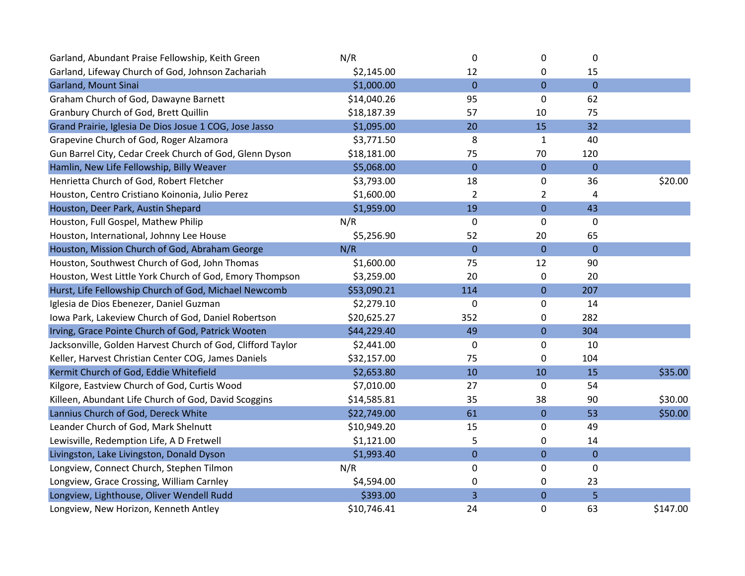| Garland, Abundant Praise Fellowship, Keith Green            | N/R         | $\boldsymbol{0}$ | 0                | 0                |          |
|-------------------------------------------------------------|-------------|------------------|------------------|------------------|----------|
| Garland, Lifeway Church of God, Johnson Zachariah           | \$2,145.00  | 12               | 0                | 15               |          |
| Garland, Mount Sinai                                        | \$1,000.00  | $\mathbf{0}$     | $\overline{0}$   | $\overline{0}$   |          |
| Graham Church of God, Dawayne Barnett                       | \$14,040.26 | 95               | 0                | 62               |          |
| Granbury Church of God, Brett Quillin                       | \$18,187.39 | 57               | 10               | 75               |          |
| Grand Prairie, Iglesia De Dios Josue 1 COG, Jose Jasso      | \$1,095.00  | 20               | 15               | 32               |          |
| Grapevine Church of God, Roger Alzamora                     | \$3,771.50  | 8                | 1                | 40               |          |
| Gun Barrel City, Cedar Creek Church of God, Glenn Dyson     | \$18,181.00 | 75               | 70               | 120              |          |
| Hamlin, New Life Fellowship, Billy Weaver                   | \$5,068.00  | $\overline{0}$   | $\overline{0}$   | $\overline{0}$   |          |
| Henrietta Church of God, Robert Fletcher                    | \$3,793.00  | 18               | 0                | 36               | \$20.00  |
| Houston, Centro Cristiano Koinonia, Julio Perez             | \$1,600.00  | $\overline{2}$   | 2                | 4                |          |
| Houston, Deer Park, Austin Shepard                          | \$1,959.00  | 19               | $\mathbf 0$      | 43               |          |
| Houston, Full Gospel, Mathew Philip                         | N/R         | $\mathbf 0$      | 0                | $\mathbf 0$      |          |
| Houston, International, Johnny Lee House                    | \$5,256.90  | 52               | 20               | 65               |          |
| Houston, Mission Church of God, Abraham George              | N/R         | $\overline{0}$   | $\overline{0}$   | $\mathbf{0}$     |          |
| Houston, Southwest Church of God, John Thomas               | \$1,600.00  | 75               | 12               | 90               |          |
| Houston, West Little York Church of God, Emory Thompson     | \$3,259.00  | 20               | 0                | 20               |          |
| Hurst, Life Fellowship Church of God, Michael Newcomb       | \$53,090.21 | 114              | $\mathbf 0$      | 207              |          |
| Iglesia de Dios Ebenezer, Daniel Guzman                     | \$2,279.10  | $\mathbf 0$      | 0                | 14               |          |
| Iowa Park, Lakeview Church of God, Daniel Robertson         | \$20,625.27 | 352              | 0                | 282              |          |
| Irving, Grace Pointe Church of God, Patrick Wooten          | \$44,229.40 | 49               | $\mathbf 0$      | 304              |          |
| Jacksonville, Golden Harvest Church of God, Clifford Taylor | \$2,441.00  | 0                | 0                | 10               |          |
| Keller, Harvest Christian Center COG, James Daniels         | \$32,157.00 | 75               | 0                | 104              |          |
| Kermit Church of God, Eddie Whitefield                      | \$2,653.80  | 10               | 10               | 15               | \$35.00  |
| Kilgore, Eastview Church of God, Curtis Wood                | \$7,010.00  | 27               | $\mathbf 0$      | 54               |          |
| Killeen, Abundant Life Church of God, David Scoggins        | \$14,585.81 | 35               | 38               | 90               | \$30.00  |
| Lannius Church of God, Dereck White                         | \$22,749.00 | 61               | $\bf 0$          | 53               | \$50.00  |
| Leander Church of God, Mark Shelnutt                        | \$10,949.20 | 15               | 0                | 49               |          |
| Lewisville, Redemption Life, A D Fretwell                   | \$1,121.00  | 5                | 0                | 14               |          |
| Livingston, Lake Livingston, Donald Dyson                   | \$1,993.40  | $\mathbf 0$      | $\mathbf 0$      | $\boldsymbol{0}$ |          |
| Longview, Connect Church, Stephen Tilmon                    | N/R         | 0                | 0                | 0                |          |
| Longview, Grace Crossing, William Carnley                   | \$4,594.00  | 0                | 0                | 23               |          |
| Longview, Lighthouse, Oliver Wendell Rudd                   | \$393.00    | 3                | $\boldsymbol{0}$ | 5                |          |
| Longview, New Horizon, Kenneth Antley                       | \$10,746.41 | 24               | 0                | 63               | \$147.00 |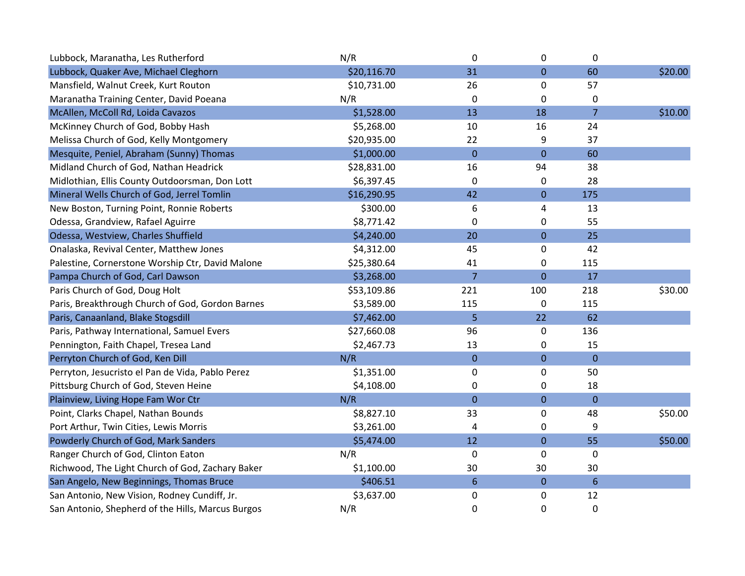| Lubbock, Maranatha, Les Rutherford                | N/R         | 0              | $\pmb{0}$    | $\mathbf 0$     |         |
|---------------------------------------------------|-------------|----------------|--------------|-----------------|---------|
| Lubbock, Quaker Ave, Michael Cleghorn             | \$20,116.70 | 31             | $\mathbf 0$  | 60              | \$20.00 |
| Mansfield, Walnut Creek, Kurt Routon              | \$10,731.00 | 26             | 0            | 57              |         |
| Maranatha Training Center, David Poeana           | N/R         | 0              | 0            | $\pmb{0}$       |         |
| McAllen, McColl Rd, Loida Cavazos                 | \$1,528.00  | 13             | 18           | $\overline{7}$  | \$10.00 |
| McKinney Church of God, Bobby Hash                | \$5,268.00  | 10             | 16           | 24              |         |
| Melissa Church of God, Kelly Montgomery           | \$20,935.00 | 22             | 9            | 37              |         |
| Mesquite, Peniel, Abraham (Sunny) Thomas          | \$1,000.00  | $\overline{0}$ | $\mathbf 0$  | 60              |         |
| Midland Church of God, Nathan Headrick            | \$28,831.00 | 16             | 94           | 38              |         |
| Midlothian, Ellis County Outdoorsman, Don Lott    | \$6,397.45  | $\mathbf 0$    | 0            | 28              |         |
| Mineral Wells Church of God, Jerrel Tomlin        | \$16,290.95 | 42             | $\mathbf 0$  | 175             |         |
| New Boston, Turning Point, Ronnie Roberts         | \$300.00    | 6              | 4            | 13              |         |
| Odessa, Grandview, Rafael Aguirre                 | \$8,771.42  | 0              | 0            | 55              |         |
| Odessa, Westview, Charles Shuffield               | \$4,240.00  | 20             | $\mathbf 0$  | 25              |         |
| Onalaska, Revival Center, Matthew Jones           | \$4,312.00  | 45             | 0            | 42              |         |
| Palestine, Cornerstone Worship Ctr, David Malone  | \$25,380.64 | 41             | 0            | 115             |         |
| Pampa Church of God, Carl Dawson                  | \$3,268.00  | $\overline{7}$ | $\mathbf 0$  | 17              |         |
| Paris Church of God, Doug Holt                    | \$53,109.86 | 221            | 100          | 218             | \$30.00 |
| Paris, Breakthrough Church of God, Gordon Barnes  | \$3,589.00  | 115            | $\mathbf 0$  | 115             |         |
| Paris, Canaanland, Blake Stogsdill                | \$7,462.00  | 5              | 22           | 62              |         |
| Paris, Pathway International, Samuel Evers        | \$27,660.08 | 96             | 0            | 136             |         |
| Pennington, Faith Chapel, Tresea Land             | \$2,467.73  | 13             | 0            | 15              |         |
| Perryton Church of God, Ken Dill                  | N/R         | $\mathbf{0}$   | $\mathbf 0$  | $\mathbf 0$     |         |
| Perryton, Jesucristo el Pan de Vida, Pablo Perez  | \$1,351.00  | $\mathbf 0$    | $\pmb{0}$    | 50              |         |
| Pittsburg Church of God, Steven Heine             | \$4,108.00  | 0              | 0            | 18              |         |
| Plainview, Living Hope Fam Wor Ctr                | N/R         | $\overline{0}$ | $\mathbf 0$  | $\overline{0}$  |         |
| Point, Clarks Chapel, Nathan Bounds               | \$8,827.10  | 33             | 0            | 48              | \$50.00 |
| Port Arthur, Twin Cities, Lewis Morris            | \$3,261.00  | 4              | $\pmb{0}$    | 9               |         |
| Powderly Church of God, Mark Sanders              | \$5,474.00  | 12             | $\mathbf{0}$ | 55              | \$50.00 |
| Ranger Church of God, Clinton Eaton               | N/R         | 0              | $\pmb{0}$    | 0               |         |
| Richwood, The Light Church of God, Zachary Baker  | \$1,100.00  | 30             | 30           | 30              |         |
| San Angelo, New Beginnings, Thomas Bruce          | \$406.51    | $6\phantom{1}$ | $\pmb{0}$    | $6\phantom{1}6$ |         |
| San Antonio, New Vision, Rodney Cundiff, Jr.      | \$3,637.00  | 0              | $\mathbf 0$  | 12              |         |
| San Antonio, Shepherd of the Hills, Marcus Burgos | N/R         | 0              | 0            | $\pmb{0}$       |         |